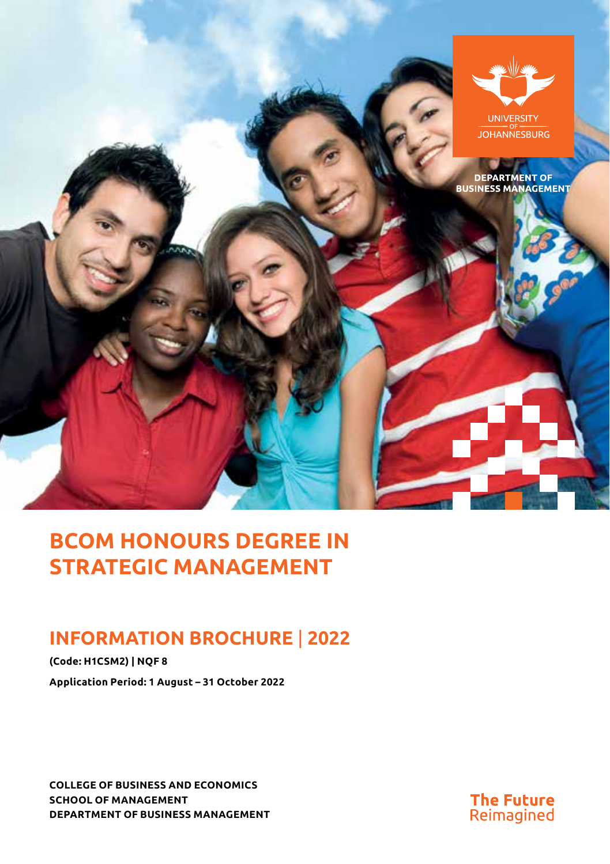

# **BCOM HONOURS DEGREE IN STRATEGIC MANAGEMENT**

# **INFORMATION BROCHURE** | **2022**

**(Code: H1CSM2) | NQF 8 Application Period: 1 August – 31 October 2022**

**COLLEGE OF BUSINESS AND ECONOMICS SCHOOL OF MANAGEMENT DEPARTMENT OF BUSINESS MANAGEMENT**

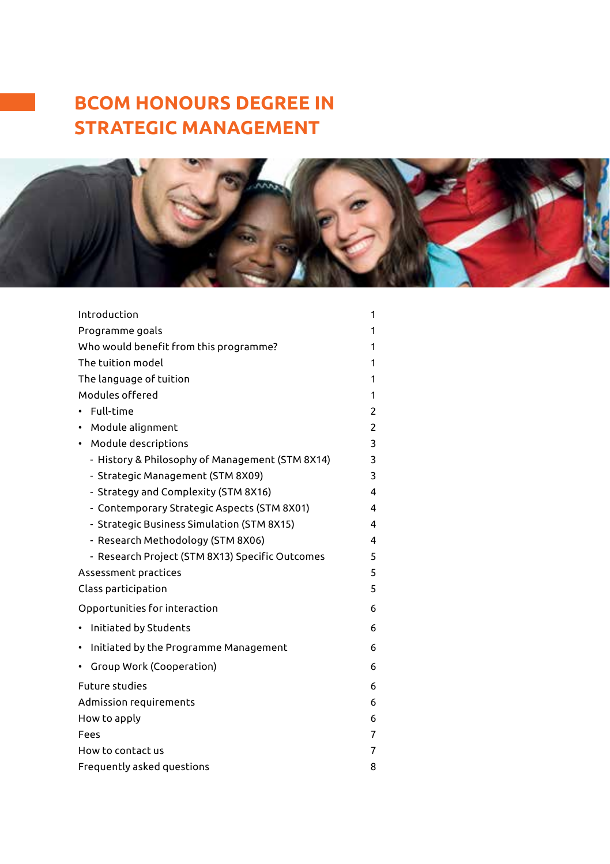# **BCOM HONOURS DEGREE IN STRATEGIC MANAGEMENT**



| Introduction                                    | 1 |
|-------------------------------------------------|---|
| Programme goals                                 | 1 |
| Who would benefit from this programme?          | 1 |
| The tuition model                               | 1 |
| The language of tuition                         | 1 |
| Modules offered                                 | 1 |
| Full-time                                       | 2 |
| Module alignment                                | 2 |
| • Module descriptions                           | 3 |
| - History & Philosophy of Management (STM 8X14) | 3 |
| - Strategic Management (STM 8X09)               | 3 |
| - Strategy and Complexity (STM 8X16)            | 4 |
| - Contemporary Strategic Aspects (STM 8X01)     | 4 |
| - Strategic Business Simulation (STM 8X15)      | 4 |
| - Research Methodology (STM 8X06)               | 4 |
| - Research Project (STM 8X13) Specific Outcomes | 5 |
| Assessment practices                            | 5 |
| Class participation                             | 5 |
| Opportunities for interaction                   | 6 |
| Initiated by Students                           | 6 |
| Initiated by the Programme Management           | 6 |
| Group Work (Cooperation)                        | 6 |
| <b>Future studies</b>                           | 6 |
| Admission requirements                          | 6 |
| How to apply                                    | 6 |
| Fees                                            | 7 |
| How to contact us                               | 7 |
| Frequently asked questions                      | 8 |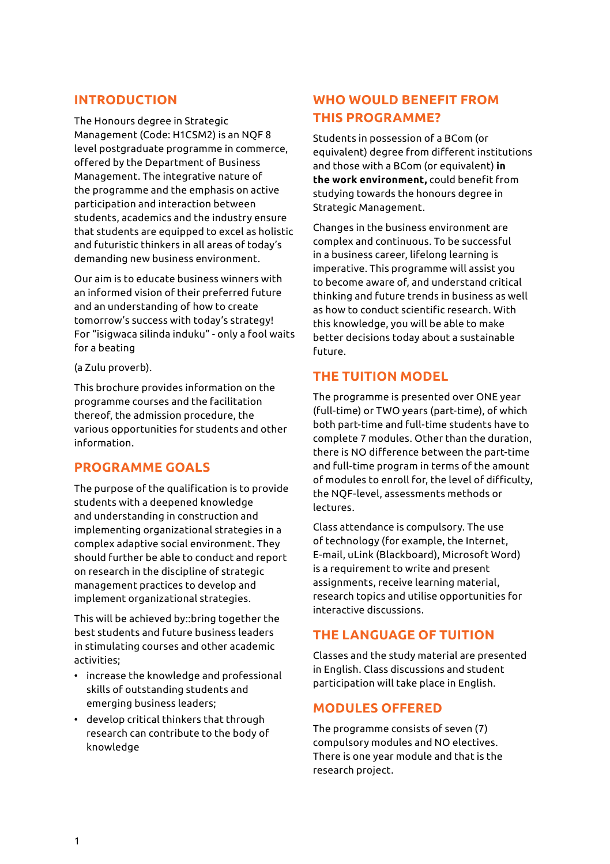# **INTRODUCTION**

The Honours degree in Strategic Management (Code: H1CSM2) is an NQF 8 level postgraduate programme in commerce, offered by the Department of Business Management. The integrative nature of the programme and the emphasis on active participation and interaction between students, academics and the industry ensure that students are equipped to excel as holistic and futuristic thinkers in all areas of today's demanding new business environment.

Our aim is to educate business winners with an informed vision of their preferred future and an understanding of how to create tomorrow's success with today's strategy! For "isigwaca silinda induku" - only a fool waits for a beating

(a Zulu proverb).

This brochure provides information on the programme courses and the facilitation thereof, the admission procedure, the various opportunities for students and other information.

# **PROGRAMME GOALS**

The purpose of the qualification is to provide students with a deepened knowledge and understanding in construction and implementing organizational strategies in a complex adaptive social environment. They should further be able to conduct and report on research in the discipline of strategic management practices to develop and implement organizational strategies.

This will be achieved by::bring together the best students and future business leaders in stimulating courses and other academic activities;

- increase the knowledge and professional skills of outstanding students and emerging business leaders;
- develop critical thinkers that through research can contribute to the body of knowledge

# **WHO WOULD BENEFIT FROM THIS PROGRAMME?**

Students in possession of a BCom (or equivalent) degree from different institutions and those with a BCom (or equivalent) **in the work environment,** could benefit from studying towards the honours degree in Strategic Management.

Changes in the business environment are complex and continuous. To be successful in a business career, lifelong learning is imperative. This programme will assist you to become aware of, and understand critical thinking and future trends in business as well as how to conduct scientific research. With this knowledge, you will be able to make better decisions today about a sustainable future.

# **THE TUITION MODEL**

The programme is presented over ONE year (full-time) or TWO years (part-time), of which both part-time and full-time students have to complete 7 modules. Other than the duration, there is NO difference between the part-time and full-time program in terms of the amount of modules to enroll for, the level of difficulty, the NQF-level, assessments methods or lectures.

Class attendance is compulsory. The use of technology (for example, the Internet, E-mail, uLink (Blackboard), Microsoft Word) is a requirement to write and present assignments, receive learning material, research topics and utilise opportunities for interactive discussions.

# **THE LANGUAGE OF TUITION**

Classes and the study material are presented in English. Class discussions and student participation will take place in English.

# **MODULES OFFERED**

The programme consists of seven (7) compulsory modules and NO electives. There is one year module and that is the research project.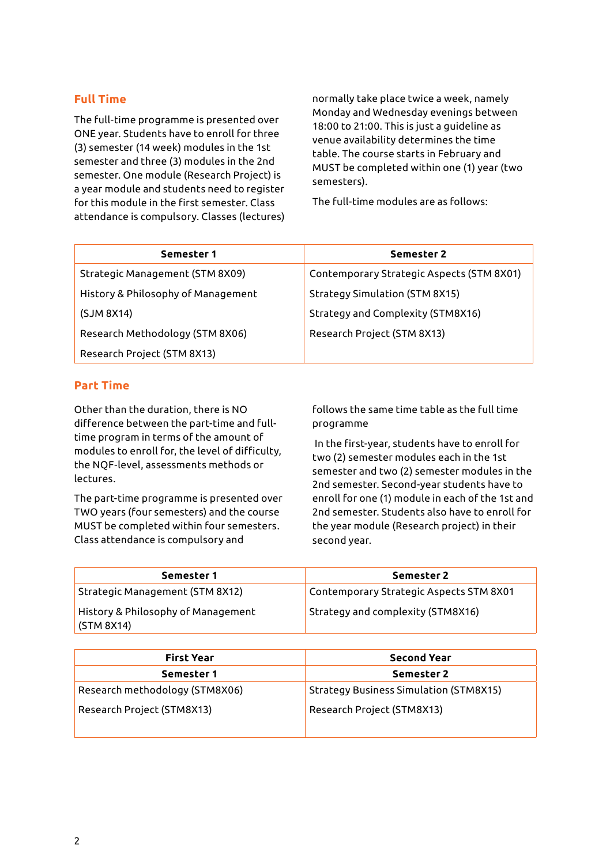## **Full Time**

The full-time programme is presented over ONE year. Students have to enroll for three (3) semester (14 week) modules in the 1st semester and three (3) modules in the 2nd semester. One module (Research Project) is a year module and students need to register for this module in the first semester. Class attendance is compulsory. Classes (lectures) normally take place twice a week, namely Monday and Wednesday evenings between 18:00 to 21:00. This is just a guideline as venue availability determines the time table. The course starts in February and MUST be completed within one (1) year (two semesters).

The full-time modules are as follows:

| Semester 1                         | Semester 2                                |
|------------------------------------|-------------------------------------------|
| Strategic Management (STM 8X09)    | Contemporary Strategic Aspects (STM 8X01) |
| History & Philosophy of Management | Strategy Simulation (STM 8X15)            |
| (SJM 8X14)                         | Strategy and Complexity (STM8X16)         |
| Research Methodology (STM 8X06)    | Research Project (STM 8X13)               |
| Research Project (STM 8X13)        |                                           |

# **Part Time**

Other than the duration, there is NO difference between the part-time and fulltime program in terms of the amount of modules to enroll for, the level of difficulty, the NQF-level, assessments methods or lectures.

The part-time programme is presented over TWO years (four semesters) and the course MUST be completed within four semesters. Class attendance is compulsory and

follows the same time table as the full time programme

 In the first-year, students have to enroll for two (2) semester modules each in the 1st semester and two (2) semester modules in the 2nd semester. Second-year students have to enroll for one (1) module in each of the 1st and 2nd semester. Students also have to enroll for the year module (Research project) in their second year.

| Semester 1                                       | Semester 2                              |
|--------------------------------------------------|-----------------------------------------|
| Strategic Management (STM 8X12)                  | Contemporary Strategic Aspects STM 8X01 |
| History & Philosophy of Management<br>(STM 8X14) | Strategy and complexity (STM8X16)       |

| <b>First Year</b>              | <b>Second Year</b>                            |
|--------------------------------|-----------------------------------------------|
| Semester 1                     | Semester 2                                    |
| Research methodology (STM8X06) | <b>Strategy Business Simulation (STM8X15)</b> |
| Research Project (STM8X13)     | Research Project (STM8X13)                    |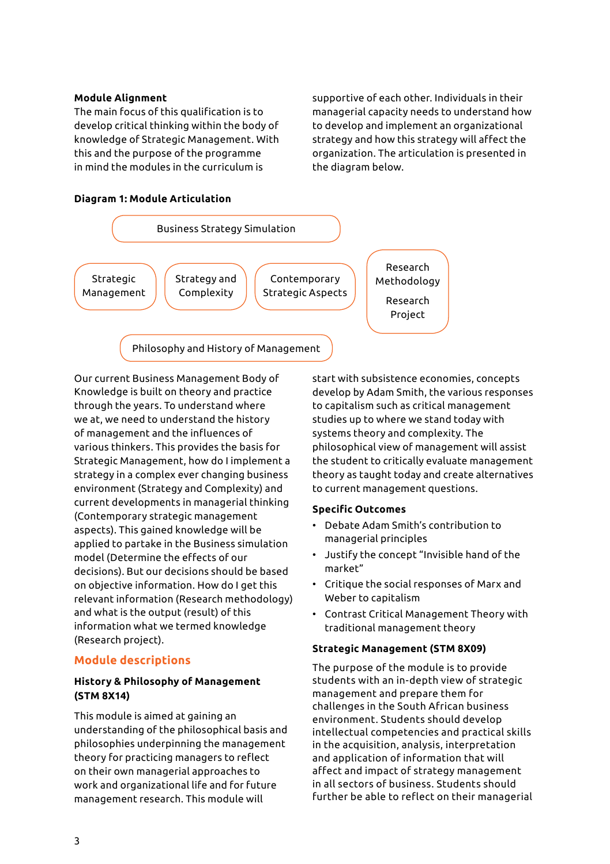#### **Module Alignment**

The main focus of this qualification is to develop critical thinking within the body of knowledge of Strategic Management. With this and the purpose of the programme in mind the modules in the curriculum is

supportive of each other. Individuals in their managerial capacity needs to understand how to develop and implement an organizational strategy and how this strategy will affect the organization. The articulation is presented in the diagram below.

### **Diagram 1: Module Articulation**



Our current Business Management Body of Knowledge is built on theory and practice through the years. To understand where we at, we need to understand the history of management and the influences of various thinkers. This provides the basis for Strategic Management, how do I implement a strategy in a complex ever changing business environment (Strategy and Complexity) and current developments in managerial thinking (Contemporary strategic management aspects). This gained knowledge will be applied to partake in the Business simulation model (Determine the effects of our decisions). But our decisions should be based on objective information. How do I get this relevant information (Research methodology) and what is the output (result) of this information what we termed knowledge (Research project).

#### **Module descriptions**

## **History & Philosophy of Management (STM 8X14)**

This module is aimed at gaining an understanding of the philosophical basis and philosophies underpinning the management theory for practicing managers to reflect on their own managerial approaches to work and organizational life and for future management research. This module will

start with subsistence economies, concepts develop by Adam Smith, the various responses to capitalism such as critical management studies up to where we stand today with systems theory and complexity. The philosophical view of management will assist the student to critically evaluate management theory as taught today and create alternatives to current management questions.

#### **Specific Outcomes**

- Debate Adam Smith's contribution to managerial principles
- Justify the concept "Invisible hand of the market"
- Critique the social responses of Marx and Weber to capitalism
- Contrast Critical Management Theory with traditional management theory

#### **Strategic Management (STM 8X09)**

The purpose of the module is to provide students with an in-depth view of strategic management and prepare them for challenges in the South African business environment. Students should develop intellectual competencies and practical skills in the acquisition, analysis, interpretation and application of information that will affect and impact of strategy management in all sectors of business. Students should further be able to reflect on their managerial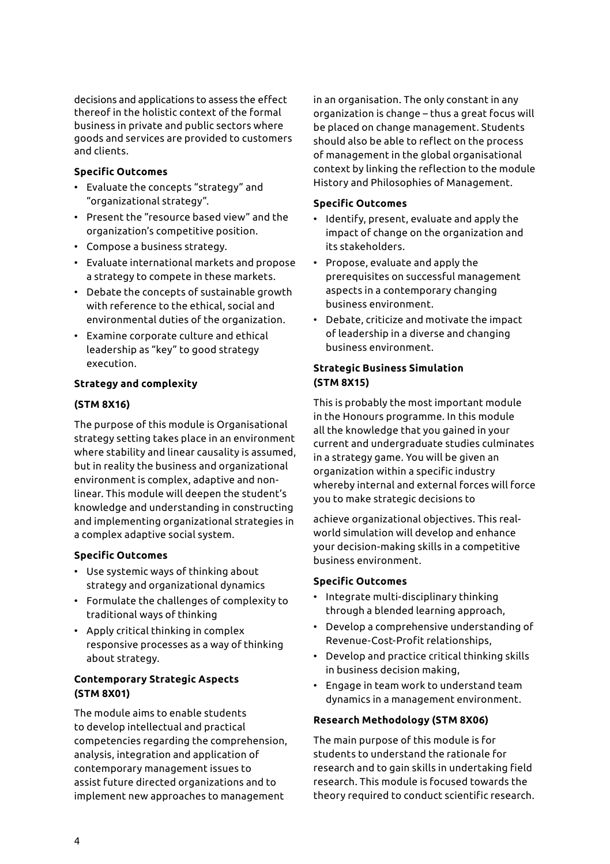decisions and applications to assess the effect thereof in the holistic context of the formal business in private and public sectors where goods and services are provided to customers and clients.

## **Specific Outcomes**

- Evaluate the concepts "strategy" and "organizational strategy".
- Present the "resource based view" and the organization's competitive position.
- Compose a business strategy.
- Evaluate international markets and propose a strategy to compete in these markets.
- Debate the concepts of sustainable growth with reference to the ethical, social and environmental duties of the organization.
- Examine corporate culture and ethical leadership as "key" to good strategy execution.

#### **Strategy and complexity**

#### **(STM 8X16)**

The purpose of this module is Organisational strategy setting takes place in an environment where stability and linear causality is assumed, but in reality the business and organizational environment is complex, adaptive and nonlinear. This module will deepen the student's knowledge and understanding in constructing and implementing organizational strategies in a complex adaptive social system.

#### **Specific Outcomes**

- Use systemic ways of thinking about strategy and organizational dynamics
- Formulate the challenges of complexity to traditional ways of thinking
- Apply critical thinking in complex responsive processes as a way of thinking about strategy.

## **Contemporary Strategic Aspects (STM 8X01)**

The module aims to enable students to develop intellectual and practical competencies regarding the comprehension, analysis, integration and application of contemporary management issues to assist future directed organizations and to implement new approaches to management

in an organisation. The only constant in any organization is change – thus a great focus will be placed on change management. Students should also be able to reflect on the process of management in the global organisational context by linking the reflection to the module History and Philosophies of Management.

#### **Specific Outcomes**

- Identify, present, evaluate and apply the impact of change on the organization and its stakeholders.
- Propose, evaluate and apply the prerequisites on successful management aspects in a contemporary changing business environment.
- Debate, criticize and motivate the impact of leadership in a diverse and changing business environment.

## **Strategic Business Simulation (STM 8X15)**

This is probably the most important module in the Honours programme. In this module all the knowledge that you gained in your current and undergraduate studies culminates in a strategy game. You will be given an organization within a specific industry whereby internal and external forces will force you to make strategic decisions to

achieve organizational objectives. This realworld simulation will develop and enhance your decision-making skills in a competitive business environment.

#### **Specific Outcomes**

- Integrate multi-disciplinary thinking through a blended learning approach,
- Develop a comprehensive understanding of Revenue-Cost-Profit relationships,
- Develop and practice critical thinking skills in business decision making,
- Engage in team work to understand team dynamics in a management environment.

#### **Research Methodology (STM 8X06)**

The main purpose of this module is for students to understand the rationale for research and to gain skills in undertaking field research. This module is focused towards the theory required to conduct scientific research.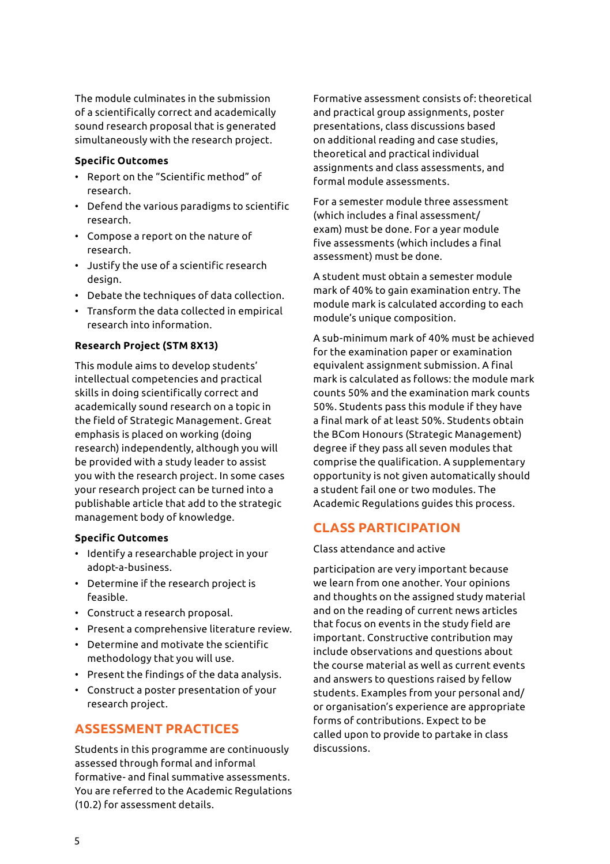The module culminates in the submission of a scientifically correct and academically sound research proposal that is generated simultaneously with the research project.

#### **Specific Outcomes**

- Report on the "Scientific method" of research.
- Defend the various paradigms to scientific research.
- Compose a report on the nature of research.
- Justify the use of a scientific research design.
- Debate the techniques of data collection.
- Transform the data collected in empirical research into information.

#### **Research Project (STM 8X13)**

This module aims to develop students' intellectual competencies and practical skills in doing scientifically correct and academically sound research on a topic in the field of Strategic Management. Great emphasis is placed on working (doing research) independently, although you will be provided with a study leader to assist you with the research project. In some cases your research project can be turned into a publishable article that add to the strategic management body of knowledge.

#### **Specific Outcomes**

- Identify a researchable project in your adopt-a-business.
- Determine if the research project is feasible.
- Construct a research proposal.
- Present a comprehensive literature review.
- Determine and motivate the scientific methodology that you will use.
- Present the findings of the data analysis.
- Construct a poster presentation of your research project.

# **ASSESSMENT PRACTICES**

Students in this programme are continuously assessed through formal and informal formative- and final summative assessments. You are referred to the Academic Regulations (10.2) for assessment details.

Formative assessment consists of: theoretical and practical group assignments, poster presentations, class discussions based on additional reading and case studies, theoretical and practical individual assignments and class assessments, and formal module assessments.

For a semester module three assessment (which includes a final assessment/ exam) must be done. For a year module five assessments (which includes a final assessment) must be done.

A student must obtain a semester module mark of 40% to gain examination entry. The module mark is calculated according to each module's unique composition.

A sub-minimum mark of 40% must be achieved for the examination paper or examination equivalent assignment submission. A final mark is calculated as follows: the module mark counts 50% and the examination mark counts 50%. Students pass this module if they have a final mark of at least 50%. Students obtain the BCom Honours (Strategic Management) degree if they pass all seven modules that comprise the qualification. A supplementary opportunity is not given automatically should a student fail one or two modules. The Academic Regulations guides this process.

# **CLASS PARTICIPATION**

Class attendance and active

participation are very important because we learn from one another. Your opinions and thoughts on the assigned study material and on the reading of current news articles that focus on events in the study field are important. Constructive contribution may include observations and questions about the course material as well as current events and answers to questions raised by fellow students. Examples from your personal and/ or organisation's experience are appropriate forms of contributions. Expect to be called upon to provide to partake in class discussions.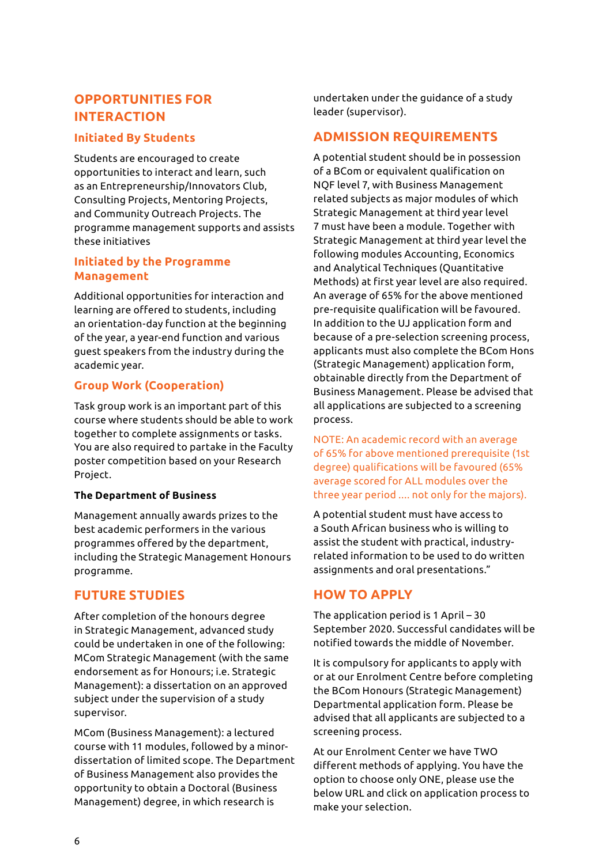# **OPPORTUNITIES FOR INTERACTION**

## **Initiated By Students**

Students are encouraged to create opportunities to interact and learn, such as an Entrepreneurship/Innovators Club, Consulting Projects, Mentoring Projects, and Community Outreach Projects. The programme management supports and assists these initiatives

## **Initiated by the Programme Management**

Additional opportunities for interaction and learning are offered to students, including an orientation-day function at the beginning of the year, a year-end function and various guest speakers from the industry during the academic year.

# **Group Work (Cooperation)**

Task group work is an important part of this course where students should be able to work together to complete assignments or tasks. You are also required to partake in the Faculty poster competition based on your Research Project.

#### **The Department of Business**

Management annually awards prizes to the best academic performers in the various programmes offered by the department, including the Strategic Management Honours programme.

# **FUTURE STUDIES**

After completion of the honours degree in Strategic Management, advanced study could be undertaken in one of the following: MCom Strategic Management (with the same endorsement as for Honours; i.e. Strategic Management): a dissertation on an approved subject under the supervision of a study supervisor.

MCom (Business Management): a lectured course with 11 modules, followed by a minordissertation of limited scope. The Department of Business Management also provides the opportunity to obtain a Doctoral (Business Management) degree, in which research is

undertaken under the guidance of a study leader (supervisor).

# **ADMISSION REQUIREMENTS**

A potential student should be in possession of a BCom or equivalent qualification on NQF level 7, with Business Management related subjects as major modules of which Strategic Management at third year level 7 must have been a module. Together with Strategic Management at third year level the following modules Accounting, Economics and Analytical Techniques (Quantitative Methods) at first year level are also required. An average of 65% for the above mentioned pre-requisite qualification will be favoured. In addition to the UJ application form and because of a pre-selection screening process, applicants must also complete the BCom Hons (Strategic Management) application form, obtainable directly from the Department of Business Management. Please be advised that all applications are subjected to a screening process.

NOTE: An academic record with an average of 65% for above mentioned prerequisite (1st degree) qualifications will be favoured (65% average scored for ALL modules over the three year period .... not only for the majors).

A potential student must have access to a South African business who is willing to assist the student with practical, industryrelated information to be used to do written assignments and oral presentations."

# **HOW TO APPLY**

The application period is 1 April – 30 September 2020. Successful candidates will be notified towards the middle of November.

It is compulsory for applicants to apply with or at our Enrolment Centre before completing the BCom Honours (Strategic Management) Departmental application form. Please be advised that all applicants are subjected to a screening process.

At our Enrolment Center we have TWO different methods of applying. You have the option to choose only ONE, please use the below URL and click on application process to make your selection.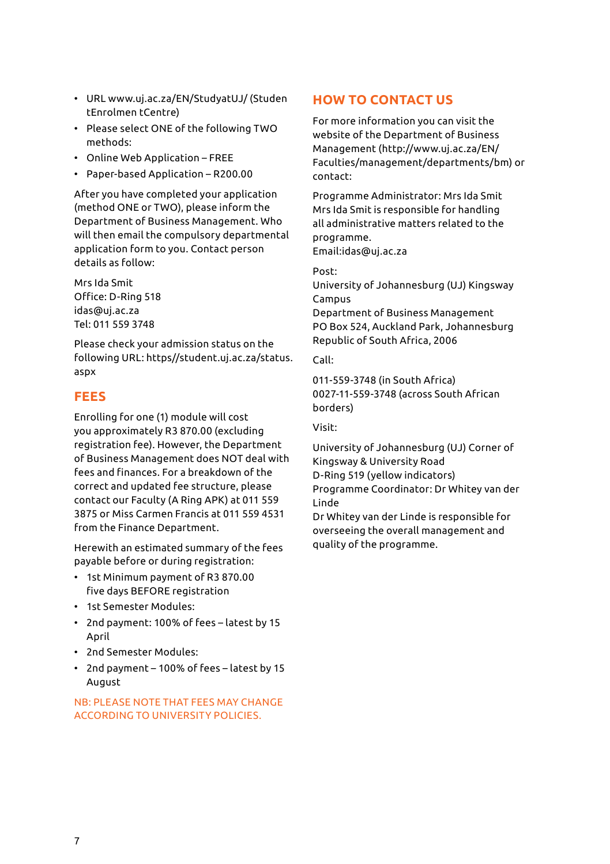- URL www.uj.ac.za/EN/StudyatUJ/ (Studen tEnrolmen tCentre)
- Please select ONE of the following TWO methods:
- Online Web Application FREE
- Paper-based Application R200.00

After you have completed your application (method ONE or TWO), please inform the Department of Business Management. Who will then email the compulsory departmental application form to you. Contact person details as follow:

Mrs Ida Smit Office: D-Ring 518 idas@uj.ac.za Tel: 011 559 3748

Please check your admission status on the following URL: https//student.uj.ac.za/status. aspx

# **FEES**

Enrolling for one (1) module will cost you approximately R3 870.00 (excluding registration fee). However, the Department of Business Management does NOT deal with fees and finances. For a breakdown of the correct and updated fee structure, please contact our Faculty (A Ring APK) at 011 559 3875 or Miss Carmen Francis at 011 559 4531 from the Finance Department.

Herewith an estimated summary of the fees payable before or during registration:

- 1st Minimum payment of R3 870.00 five days BEFORE registration
- 1st Semester Modules:
- 2nd payment: 100% of fees latest by 15 April
- 2nd Semester Modules:
- 2nd payment 100% of fees latest by 15 August

## NB: PLEASE NOTE THAT FEES MAY CHANGE ACCORDING TO UNIVERSITY POLICIES.

# **HOW TO CONTACT US**

For more information you can visit the website of the Department of Business Management (http://www.uj.ac.za/EN/ Faculties/management/departments/bm) or contact:

Programme Administrator: Mrs Ida Smit Mrs Ida Smit is responsible for handling all administrative matters related to the programme.

Email:idas@uj.ac.za

Post:

University of Johannesburg (UJ) Kingsway Campus

Department of Business Management PO Box 524, Auckland Park, Johannesburg Republic of South Africa, 2006

Call:

011-559-3748 (in South Africa) 0027-11-559-3748 (across South African borders)

Visit:

University of Johannesburg (UJ) Corner of Kingsway & University Road D-Ring 519 (yellow indicators)

Programme Coordinator: Dr Whitey van der Linde

Dr Whitey van der Linde is responsible for overseeing the overall management and quality of the programme.